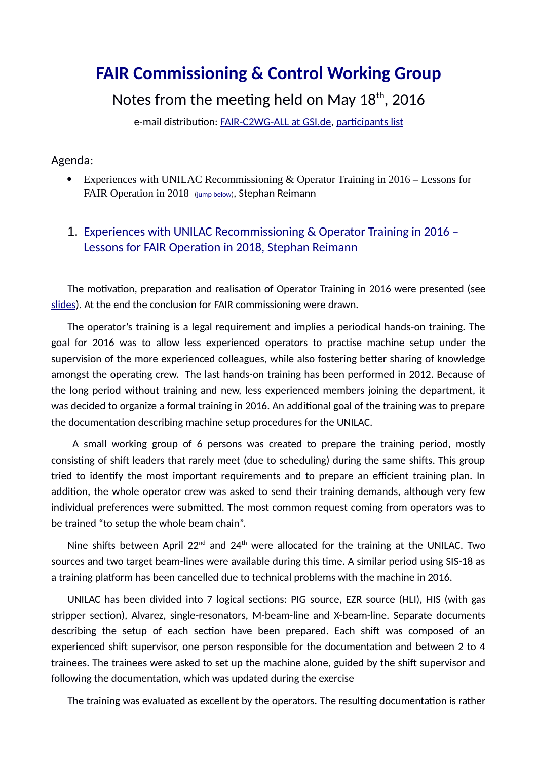## **FAIR Commissioning & Control Working Group**

Notes from the meeting held on May  $18<sup>th</sup>$ , 2016

e-mail distribution: [FAIR-C2WG-ALL at GSI.de,](mailto:FAIR-C2WG-ALL%20(at)%20GSI%20(punkt)%20de) [participants list](https://fair-wiki.gsi.de/foswiki/pub/FC2WG/FairC2WGMinutes/20160518_FC2WG_AttendanceList.pdf)

## Agenda:

 Experiences with UNILAC Recommissioning & Operator Training in 2016 – Lessons for FAIR Operation in 2018 (jump [below\)](#page-0-0), Stephan Reimann

## <span id="page-0-0"></span>1. Experiences with UNILAC Recommissioning & Operator Training in 2016 – Lessons for FAIR Operation in 2018, Stephan Reimann

The motivation, preparation and realisation of Operator Training in 2016 were presented (see [slides\)](https://fair-wiki.gsi.de/foswiki/pub/FC2WG/FairC2WGMinutes/20160518_UNILAC_commissioning.pptx). At the end the conclusion for FAIR commissioning were drawn.

The operator's training is a legal requirement and implies a periodical hands-on training. The goal for 2016 was to allow less experienced operators to practise machine setup under the supervision of the more experienced colleagues, while also fostering better sharing of knowledge amongst the operating crew. The last hands-on training has been performed in 2012. Because of the long period without training and new, less experienced members joining the department, it was decided to organize a formal training in 2016. An additional goal of the training was to prepare the documentation describing machine setup procedures for the UNILAC.

 A small working group of 6 persons was created to prepare the training period, mostly consisting of shift leaders that rarely meet (due to scheduling) during the same shifts. This group tried to identify the most important requirements and to prepare an efficient training plan. In addition, the whole operator crew was asked to send their training demands, although very few individual preferences were submitted. The most common request coming from operators was to be trained "to setup the whole beam chain".

Nine shifts between April 22<sup>nd</sup> and 24<sup>th</sup> were allocated for the training at the UNILAC. Two sources and two target beam-lines were available during this time. A similar period using SIS-18 as a training platform has been cancelled due to technical problems with the machine in 2016.

UNILAC has been divided into 7 logical sections: PIG source, EZR source (HLI), HIS (with gas stripper section), Alvarez, single-resonators, M-beam-line and X-beam-line. Separate documents describing the setup of each section have been prepared. Each shift was composed of an experienced shift supervisor, one person responsible for the documentation and between 2 to 4 trainees. The trainees were asked to set up the machine alone, guided by the shift supervisor and following the documentation, which was updated during the exercise

The training was evaluated as excellent by the operators. The resulting documentation is rather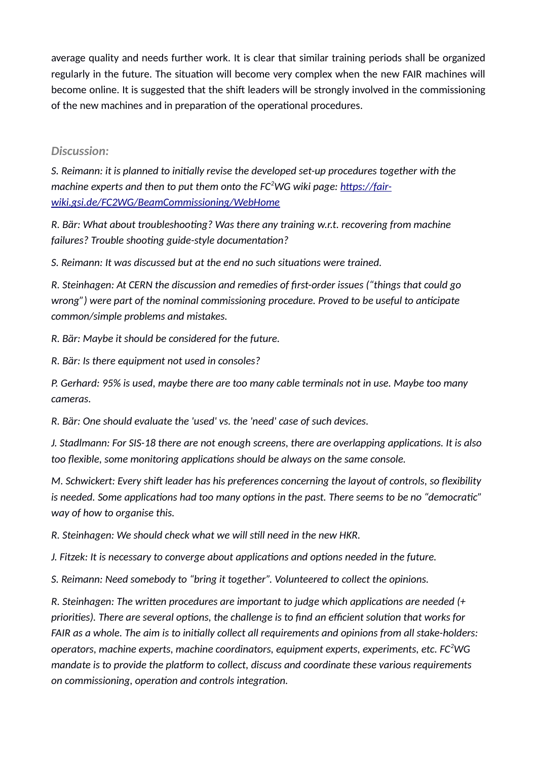average quality and needs further work. It is clear that similar training periods shall be organized regularly in the future. The situation will become very complex when the new FAIR machines will become online. It is suggested that the shift leaders will be strongly involved in the commissioning of the new machines and in preparation of the operational procedures.

## *Discussion:*

*S. Reimann: it is planned to initially revise the developed set-up procedures together with the machine experts and then to put them onto the FC2WG wiki page: [https://fair](https://fair-wiki.gsi.de/FC2WG/BeamCommissioning/WebHome)[wiki.gsi.de/FC2WG/BeamCommissioning/WebHome](https://fair-wiki.gsi.de/FC2WG/BeamCommissioning/WebHome)*

*R. Bär: What about troubleshooting? Was there any training w.r.t. recovering from machine failures? Trouble shooting guide-style documentation?*

*S. Reimann: It was discussed but at the end no such situations were trained.*

*R. Steinhagen: At CERN the discussion and remedies of first-order issues ("things that could go wrong") were part of the nominal commissioning procedure. Proved to be useful to anticipate common/simple problems and mistakes.*

*R. Bär: Maybe it should be considered for the future.*

*R. Bär: Is there equipment not used in consoles?*

*P. Gerhard: 95% is used, maybe there are too many cable terminals not in use. Maybe too many cameras.*

*R. Bär: One should evaluate the 'used' vs. the 'need' case of such devices.*

*J. Stadlmann: For SIS-18 there are not enough screens, there are overlapping applications. It is also too flexible, some monitoring applications should be always on the same console.*

*M. Schwickert: Every shift leader has his preferences concerning the layout of controls, so flexibility is needed. Some applications had too many options in the past. There seems to be no "democratic" way of how to organise this.*

*R. Steinhagen: We should check what we will still need in the new HKR.*

*J. Fitzek: It is necessary to converge about applications and options needed in the future.*

*S. Reimann: Need somebody to "bring it together". Volunteered to collect the opinions.*

*R. Steinhagen: The written procedures are important to judge which applications are needed (+ priorities). There are several options, the challenge is to find an efficient solution that works for FAIR as a whole. The aim is to initially collect all requirements and opinions from all stake-holders: operators, machine experts, machine coordinators, equipment experts, experiments, etc. FC<sup>2</sup>WG mandate is to provide the platform to collect, discuss and coordinate these various requirements on commissioning, operation and controls integration.*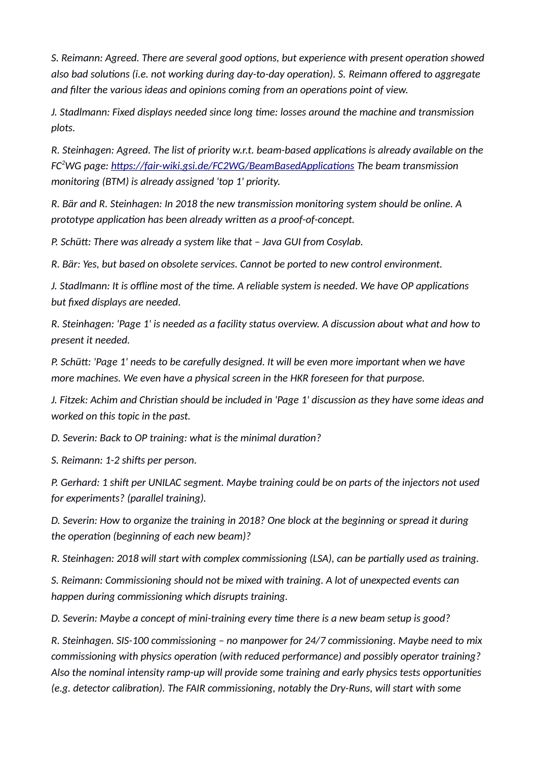*S. Reimann: Agreed. There are several good options, but experience with present operation showed also bad solutions (i.e. not working during day-to-day operation). S. Reimann offered to aggregate and filter the various ideas and opinions coming from an operations point of view.*

*J. Stadlmann: Fixed displays needed since long time: losses around the machine and transmission plots.*

*R. Steinhagen: Agreed. The list of priority w.r.t. beam-based applications is already available on the FC<sup>2</sup>WG page:<https://fair-wiki.gsi.de/FC2WG/BeamBasedApplications>The beam transmission monitoring (BTM) is already assigned 'top 1' priority.*

*R. Bär and R. Steinhagen: In 2018 the new transmission monitoring system should be online. A prototype application has been already written as a proof-of-concept.*

*P. Schütt: There was already a system like that – Java GUI from Cosylab.*

*R. Bär: Yes, but based on obsolete services. Cannot be ported to new control environment.*

*J. Stadlmann: It is offline most of the time. A reliable system is needed. We have OP applications but fixed displays are needed.*

*R. Steinhagen: 'Page 1' is needed as a facility status overview. A discussion about what and how to present it needed.*

*P. Schütt: 'Page 1' needs to be carefully designed. It will be even more important when we have more machines. We even have a physical screen in the HKR foreseen for that purpose.*

*J. Fitzek: Achim and Christian should be included in 'Page 1' discussion as they have some ideas and worked on this topic in the past.*

*D. Severin: Back to OP training: what is the minimal duration?*

*S. Reimann: 1-2 shifts per person.*

*P. Gerhard: 1 shift per UNILAC segment. Maybe training could be on parts of the injectors not used for experiments? (parallel training).*

*D. Severin: How to organize the training in 2018? One block at the beginning or spread it during the operation (beginning of each new beam)?*

*R. Steinhagen: 2018 will start with complex commissioning (LSA), can be partially used as training.*

*S. Reimann: Commissioning should not be mixed with training. A lot of unexpected events can happen during commissioning which disrupts training.*

*D. Severin: Maybe a concept of mini-training every time there is a new beam setup is good?*

*R. Steinhagen. SIS-100 commissioning – no manpower for 24/7 commissioning. Maybe need to mix commissioning with physics operation (with reduced performance) and possibly operator training? Also the nominal intensity ramp-up will provide some training and early physics tests opportunities (e.g. detector calibration). The FAIR commissioning, notably the Dry-Runs, will start with some*